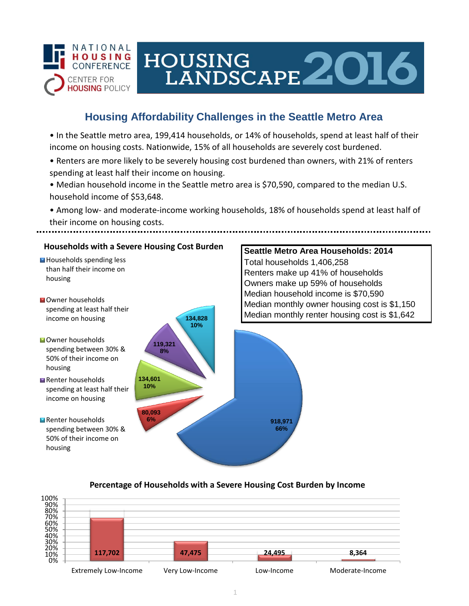

# HOUSING LANDSCAPE 2016

## **Housing Affordability Challenges in the Seattle Metro Area**

• In the Seattle metro area, 199,414 households, or 14% of households, spend at least half of their income on housing costs. Nationwide, 15% of all households are severely cost burdened.

- Renters are more likely to be severely housing cost burdened than owners, with 21% of renters spending at least half their income on housing.
- Median household income in the Seattle metro area is \$70,590, compared to the median U.S. household income of \$53,648.
- Among low- and moderate-income working households, 18% of households spend at least half of their income on housing costs.



### **Percentage of Households with a Severe Housing Cost Burden by Income**